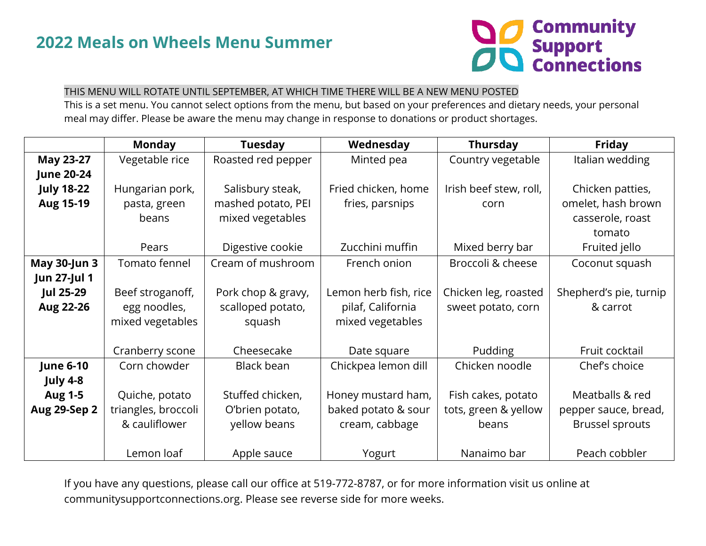

## THIS MENU WILL ROTATE UNTIL SEPTEMBER, AT WHICH TIME THERE WILL BE A NEW MENU POSTED

This is a set menu. You cannot select options from the menu, but based on your preferences and dietary needs, your personal meal may differ. Please be aware the menu may change in response to donations or product shortages.

|                     | <b>Monday</b>       | <b>Tuesday</b>     | Wednesday             | <b>Thursday</b>        | Friday                 |
|---------------------|---------------------|--------------------|-----------------------|------------------------|------------------------|
| May 23-27           | Vegetable rice      | Roasted red pepper | Minted pea            | Country vegetable      | Italian wedding        |
| <b>June 20-24</b>   |                     |                    |                       |                        |                        |
| <b>July 18-22</b>   | Hungarian pork,     | Salisbury steak,   | Fried chicken, home   | Irish beef stew, roll, | Chicken patties,       |
| <b>Aug 15-19</b>    | pasta, green        | mashed potato, PEI | fries, parsnips       | corn                   | omelet, hash brown     |
|                     | beans               | mixed vegetables   |                       |                        | casserole, roast       |
|                     |                     |                    |                       |                        | tomato                 |
|                     | Pears               | Digestive cookie   | Zucchini muffin       | Mixed berry bar        | Fruited jello          |
| <b>May 30-Jun 3</b> | Tomato fennel       | Cream of mushroom  | French onion          | Broccoli & cheese      | Coconut squash         |
| Jun 27-Jul 1        |                     |                    |                       |                        |                        |
| <b>Jul 25-29</b>    | Beef stroganoff,    | Pork chop & gravy, | Lemon herb fish, rice | Chicken leg, roasted   | Shepherd's pie, turnip |
| Aug 22-26           | egg noodles,        | scalloped potato,  | pilaf, California     | sweet potato, corn     | & carrot               |
|                     | mixed vegetables    | squash             | mixed vegetables      |                        |                        |
|                     |                     |                    |                       |                        |                        |
|                     | Cranberry scone     | Cheesecake         | Date square           | <b>Pudding</b>         | Fruit cocktail         |
| <b>June 6-10</b>    | Corn chowder        | Black bean         | Chickpea lemon dill   | Chicken noodle         | Chef's choice          |
| July 4-8            |                     |                    |                       |                        |                        |
| <b>Aug 1-5</b>      | Quiche, potato      | Stuffed chicken,   | Honey mustard ham,    | Fish cakes, potato     | Meatballs & red        |
| <b>Aug 29-Sep 2</b> | triangles, broccoli | O'brien potato,    | baked potato & sour   | tots, green & yellow   | pepper sauce, bread,   |
|                     | & cauliflower       | yellow beans       | cream, cabbage        | beans                  | <b>Brussel sprouts</b> |
|                     |                     |                    |                       |                        |                        |
|                     | Lemon loaf          | Apple sauce        | Yogurt                | Nanaimo bar            | Peach cobbler          |

If you have any questions, please call our office at 519-772-8787, or for more information visit us online at communitysupportconnections.org. Please see reverse side for more weeks.